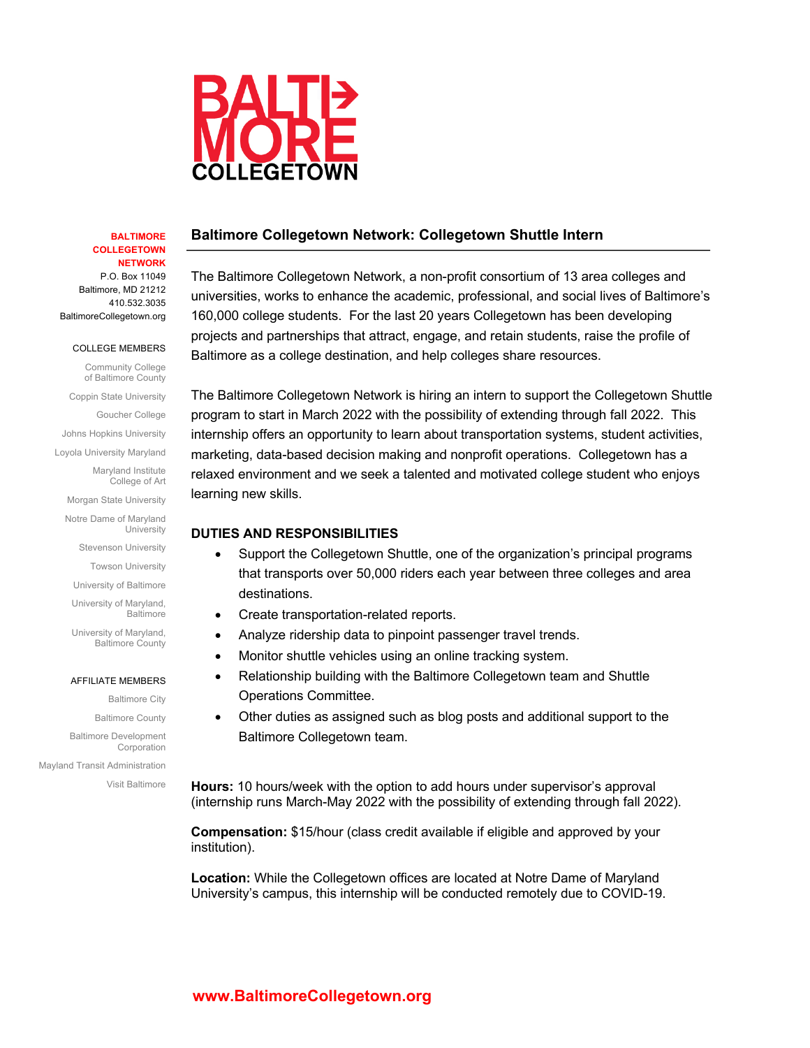

#### **BALTIMORE COLLEGETOWN NETWORK**

P.O. Box 11049 Baltimore, MD 21212 410.532.3035 BaltimoreCollegetown.org

COLLEGE MEMBERS

Community College of Baltimore County Coppin State University Goucher College

Johns Hopkins University

Loyola University Maryland

Maryland Institute College of Art

Morgan State University Notre Dame of Maryland

University

Stevenson University

Towson University

University of Baltimore University of Maryland, Baltimore

University of Maryland, Baltimore County

#### AFFILIATE MEMBERS

Baltimore City Baltimore County Baltimore Development Corporation Mayland Transit Administration

Visit Baltimore

# **Baltimore Collegetown Network: Collegetown Shuttle Intern**

The Baltimore Collegetown Network, a non-profit consortium of 13 area colleges and universities, works to enhance the academic, professional, and social lives of Baltimore's 160,000 college students. For the last 20 years Collegetown has been developing projects and partnerships that attract, engage, and retain students, raise the profile of Baltimore as a college destination, and help colleges share resources.

The Baltimore Collegetown Network is hiring an intern to support the Collegetown Shuttle program to start in March 2022 with the possibility of extending through fall 2022. This internship offers an opportunity to learn about transportation systems, student activities, marketing, data-based decision making and nonprofit operations. Collegetown has a relaxed environment and we seek a talented and motivated college student who enjoys learning new skills.

# **DUTIES AND RESPONSIBILITIES**

- Support the Collegetown Shuttle, one of the organization's principal programs that transports over 50,000 riders each year between three colleges and area destinations.
- Create transportation-related reports.
- Analyze ridership data to pinpoint passenger travel trends.
- Monitor shuttle vehicles using an online tracking system.
- Relationship building with the Baltimore Collegetown team and Shuttle Operations Committee.
- Other duties as assigned such as blog posts and additional support to the Baltimore Collegetown team.

**Hours:** 10 hours/week with the option to add hours under supervisor's approval (internship runs March-May 2022 with the possibility of extending through fall 2022).

**Compensation:** \$15/hour (class credit available if eligible and approved by your institution).

**Location:** While the Collegetown offices are located at Notre Dame of Maryland University's campus, this internship will be conducted remotely due to COVID-19.